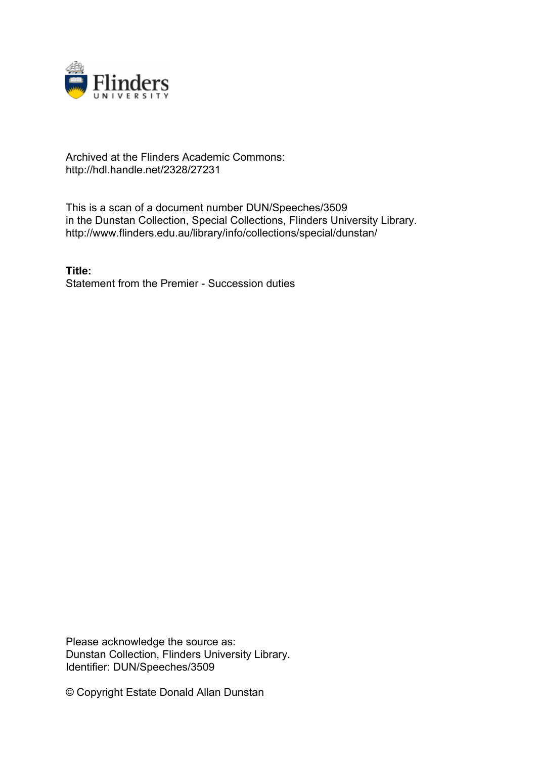

# Archived at the Flinders Academic Commons: http://hdl.handle.net/2328/27231

This is a scan of a document number DUN/Speeches/3509 in the Dunstan Collection, Special Collections, Flinders University Library. http://www.flinders.edu.au/library/info/collections/special/dunstan/

**Title:** Statement from the Premier - Succession duties

Please acknowledge the source as: Dunstan Collection, Flinders University Library. Identifier: DUN/Speeches/3509

© Copyright Estate Donald Allan Dunstan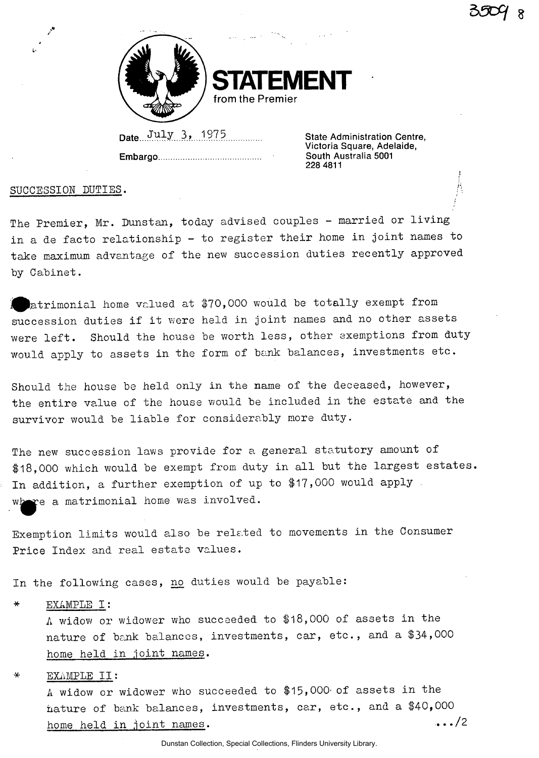

**STATEMENT from the Premier** 

Date...  $July$  3, 1975 State Administration Centre,

**Embargo** 

**Victoria Square, Adelaide, South Australia 5001 228 4811** 

SUCCESSION DUTIES.

i-

The Premier, Mr. Dunstan, today advised couples - married or living in a de facto relationship - to register their home in joint names to take maximum advantage of the new succession duties recently approved by Cabinet.

patrimonial home valued at \$70,000 would he totally exempt from succession duties if it were held in joint names and no other assets were left. Should the house be worth less, other exemptions from duty would apply to assets in the form of bank balances, investments etc.

Should the house be held only in the name of the deceased, however, the entire value of the house would be included in the estate ana the survivor would be liable for considerably more duty.

The new succession laws provide for a general statutory amount of \$18,000 which would be exempt from duty in all but the largest estates. In addition, a further exemption of up to \$17,000 would apply . where a matrimonial home was involved.

Exemption limits would also be related to movements in the Consumer Price Index and real estate values.

In the following cases, no duties would be payable:

EXAMPLE I:

A widow or widower who succeeded to \$18,000 of assets in the nature of bank balances, investments, car, etc., and a \$34,000 home held in joint names.

EXAMPLE II:

A widow or widower who succeeded to \$15,000' of assets in the nature of bank balances, investments, car, etc., and a \$40,000  $\ddots/2$ home held in joint names.